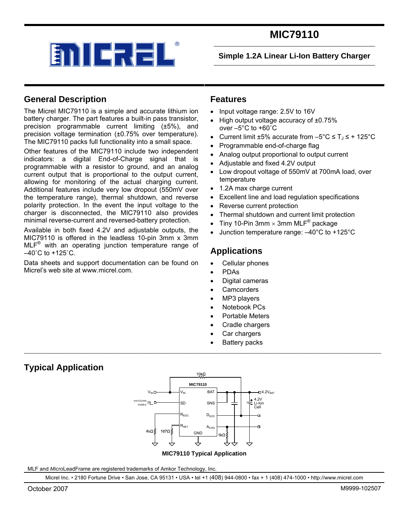

# **MIC79110**

**Simple 1.2A Linear Li-Ion Battery Charger** 

## **General Description**

The Micrel MIC79110 is a simple and accurate lithium ion battery charger. The part features a built-in pass transistor, precision programmable current limiting (±5%), and precision voltage termination (±0.75% over temperature). The MIC79110 packs full functionality into a small space.

Other features of the MIC79110 include two independent indicators: a digital End-of-Charge signal that is programmable with a resistor to ground, and an analog current output that is proportional to the output current, allowing for monitoring of the actual charging current. Additional features include very low dropout (550mV over the temperature range), thermal shutdown, and reverse polarity protection. In the event the input voltage to the charger is disconnected, the MIC79110 also provides minimal reverse-current and reversed-battery protection.

Available in both fixed 4.2V and adjustable outputs, the MIC79110 is offered in the leadless 10-pin 3mm x 3mm MLF® with an operating junction temperature range of  $-40^{\circ}$ C to  $+125^{\circ}$ C.

Data sheets and support documentation can be found on Micrel's web site at www.micrel.com.

### **Features**

- Input voltage range: 2.5V to 16V
- High output voltage accuracy of ±0.75% over –5°C to +60˚C
- Current limit  $\pm 5\%$  accurate from  $-5^{\circ}$ C  $\leq T_J \leq +125^{\circ}$ C
- Programmable end-of-charge flag
- Analog output proportional to output current
- Adjustable and fixed 4.2V output
- Low dropout voltage of 550mV at 700mA load, over temperature
- 1.2A max charge current
- Excellent line and load regulation specifications
- Reverse current protection
- Thermal shutdown and current limit protection
- $\bullet~$  Tiny 10-Pin 3mm  $\times$  3mm MLF $^\circledR$  package
- Junction temperature range: –40°C to +125°C

## **Applications**

- Cellular phones
- PDAs
- Digital cameras
- **Camcorders**
- MP3 players
- Notebook PCs
- Portable Meters
- Cradle chargers
- Car chargers
- **Battery packs**

## **Typical Application**



\_\_\_\_\_\_\_\_\_\_\_\_\_\_\_\_\_\_\_\_\_\_\_\_\_\_\_\_\_\_\_\_\_\_\_\_\_\_\_\_\_\_\_\_\_\_\_\_\_\_\_\_\_\_\_\_\_\_\_\_\_\_\_\_\_\_\_\_\_\_\_\_\_\_\_\_\_\_\_\_\_\_\_\_\_\_\_\_\_\_\_\_\_\_\_\_\_\_\_\_\_\_\_\_\_\_\_

MLF and *Micro*LeadFrame are registered trademarks of Amkor Technology, Inc.

Micrel Inc. • 2180 Fortune Drive • San Jose, CA 95131 • USA • tel +1 (408) 944-0800 • fax + 1 (408) 474-1000 • http://www.micrel.com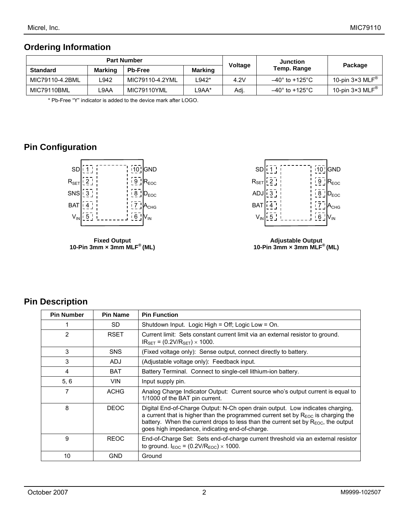## **Ordering Information**

| <b>Part Number</b> |                |                 | Voltage | <b>Junction</b> |                       |                                    |  |
|--------------------|----------------|-----------------|---------|-----------------|-----------------------|------------------------------------|--|
| <b>Standard</b>    | <b>Marking</b> | <b>Pb-Free</b>  | Marking |                 | Temp. Range           | Package                            |  |
| MIC79110-4.2BML    | ∟942           | MIC79110-4.2YML | $-942*$ | 4.2V            | $-40^\circ$ to +125°C | 10-pin $3\times3$ MLF <sup>®</sup> |  |
| MIC79110BML        | ∟9AA           | MIC79110YML     | _9AA*   | Adj.            | $-40^\circ$ to +125°C | 10-pin 3×3 MLF $^{\circledR}$      |  |

\* Pb-Free "Y" indicator is added to the device mark after LOGO.

## **Pin Configuration**



**Fixed Output 10-Pin 3mm × 3mm MLF® (ML)** 



**Adjustable Output 10-Pin 3mm × 3mm MLF® (ML)** 

## **Pin Description**

| <b>Pin Number</b> | <b>Pin Name</b> | <b>Pin Function</b>                                                                                                                                                                                                                                                                                                |  |
|-------------------|-----------------|--------------------------------------------------------------------------------------------------------------------------------------------------------------------------------------------------------------------------------------------------------------------------------------------------------------------|--|
|                   | SD.             | Shutdown Input. Logic High = Off; Logic Low = On.                                                                                                                                                                                                                                                                  |  |
| 2                 | <b>RSET</b>     | Current limit: Sets constant current limit via an external resistor to ground.<br>$IR_{SET} = (0.2 V/R_{SET}) \times 1000.$                                                                                                                                                                                        |  |
| 3                 | <b>SNS</b>      | (Fixed voltage only): Sense output, connect directly to battery.                                                                                                                                                                                                                                                   |  |
| 3                 | <b>ADJ</b>      | (Adjustable voltage only): Feedback input.                                                                                                                                                                                                                                                                         |  |
| 4                 | <b>BAT</b>      | Battery Terminal. Connect to single-cell lithium-ion battery.                                                                                                                                                                                                                                                      |  |
| 5, 6              | <b>VIN</b>      | Input supply pin.                                                                                                                                                                                                                                                                                                  |  |
| 7                 | <b>ACHG</b>     | Analog Charge Indicator Output: Current source who's output current is equal to<br>1/1000 of the BAT pin current.                                                                                                                                                                                                  |  |
| 8                 | DEOC            | Digital End-of-Charge Output: N-Ch open drain output. Low indicates charging,<br>a current that is higher than the programmed current set by $R_{EOC}$ is charging the<br>battery. When the current drops to less than the current set by $R_{EOC}$ , the output<br>goes high impedance, indicating end-of-charge. |  |
| 9                 | <b>REOC</b>     | End-of-Charge Set: Sets end-of-charge current threshold via an external resistor<br>to ground. $I_{EOC} = (0.2 V/R_{EOC}) \times 1000$ .                                                                                                                                                                           |  |
| 10                | GND             | Ground                                                                                                                                                                                                                                                                                                             |  |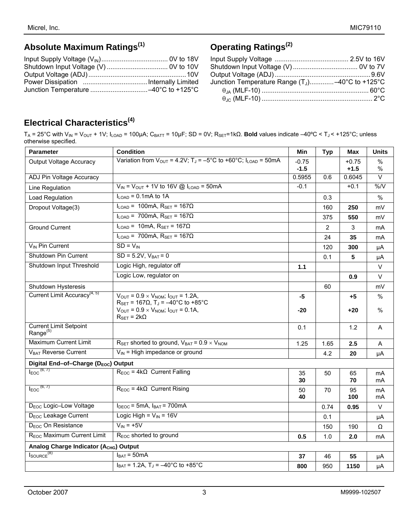# **Absolute Maximum Ratings(1)**

# **Operating Ratings(2)**

| Junction Temperature Range $(T_1)$ -40°C to +125°C |  |
|----------------------------------------------------|--|
|                                                    |  |
|                                                    |  |

# **Electrical Characteristics(4)**

TA = 25°C with VIN = VOUT + 1V; ILOAD = 100µA; CBATT = 10µF; SD = 0V; RSET=1kΩ. **Bold** values indicate –40ºC < TJ < +125°C; unless otherwise specified.

| <b>Parameter</b>                                   | <b>Condition</b>                                                                                                                                                           | Min               | <b>Typ</b> | Max               | <b>Units</b>       |
|----------------------------------------------------|----------------------------------------------------------------------------------------------------------------------------------------------------------------------------|-------------------|------------|-------------------|--------------------|
| <b>Output Voltage Accuracy</b>                     | Variation from $V_{\text{OUT}} = 4.2V$ ; T <sub>J</sub> = -5°C to +60°C; I <sub>LOAD</sub> = 50mA                                                                          | $-0.75$<br>$-1.5$ |            | $+0.75$<br>$+1.5$ | $\%$<br>%          |
| ADJ Pin Voltage Accuracy                           |                                                                                                                                                                            | 0.5955            | 0.6        | 0.6045            | $\vee$             |
| Line Regulation                                    | $V_{IN} = V_{OUT} + 1V$ to 16V @ $I_{LOAD} = 50$ mA                                                                                                                        | $-0.1$            |            | $+0.1$            | $\overline{\%}$ /V |
| Load Regulation                                    | $I_{\text{LOAD}}$ = 0.1mA to 1A                                                                                                                                            |                   | 0.3        |                   | $\frac{0}{0}$      |
| Dropout Voltage(3)                                 | $I_{\text{LOAD}}$ = 100mA, $R_{\text{SET}}$ = 167 $\Omega$                                                                                                                 |                   | 160        | 250               | mV                 |
|                                                    | $I_{\text{LOAD}}$ = 700mA, $R_{\text{SET}}$ = 167 $\Omega$                                                                                                                 |                   | 375        | 550               | mV                 |
| <b>Ground Current</b>                              | $I_{\text{LOAD}}$ = 10mA, $R_{\text{SET}}$ = 167 $\Omega$                                                                                                                  |                   | 2          | 3                 | mA                 |
|                                                    | $I_{\text{LOAD}}$ = 700mA, $R_{\text{SET}}$ = 167 $\Omega$                                                                                                                 |                   | 24         | 35                | mA                 |
| V <sub>IN</sub> Pin Current                        | $SD = V_{IN}$                                                                                                                                                              |                   | 120        | 300               | μA                 |
| Shutdown Pin Current                               | $SD = 5.2V, V_{BAT} = 0$                                                                                                                                                   |                   | 0.1        | 5                 | μA                 |
| Shutdown Input Threshold                           | Logic High, regulator off                                                                                                                                                  | 1.1               |            |                   | $\vee$             |
|                                                    | Logic Low, regulator on                                                                                                                                                    |                   |            | 0.9               | $\vee$             |
| Shutdown Hysteresis                                |                                                                                                                                                                            |                   | 60         |                   | mV                 |
| Current Limit Accuracy <sup>(4, 5)</sup>           | $V_{OUT} = 0.9 \times V_{NOM}$ ; $I_{OUT} = 1.2A$ ,                                                                                                                        | -5                |            | +5                | $\frac{0}{0}$      |
|                                                    | $R_{\text{SET}} = 167 \Omega$ , T <sub>J</sub> = -40°C to +85°C<br>$V_{\text{OUT}} = 0.9 \times V_{\text{NOM}}$ ; $I_{\text{OUT}} = 0.1$ A,<br>$R_{\text{SET}} = 2k\Omega$ | $-20$             |            | +20               | $\frac{0}{0}$      |
| <b>Current Limit Setpoint</b><br>Range $(5)$       |                                                                                                                                                                            | 0.1               |            | 1.2               | A                  |
| <b>Maximum Current Limit</b>                       | $R_{\text{SET}}$ shorted to ground, $V_{\text{BAT}}$ = 0.9 $\times$ $V_{\text{NOM}}$                                                                                       | 1.25              | 1.65       | 2.5               | A                  |
| V <sub>BAT</sub> Reverse Current                   | $V_{IN}$ = High impedance or ground                                                                                                                                        |                   | 4.2        | 20                | μA                 |
| Digital End-of-Charge (DEOC) Output                |                                                                                                                                                                            |                   |            |                   |                    |
| $I_{EOC}$ <sup>(6, 7)</sup>                        | $R_{EOC}$ = 4k $\Omega$ Current Falling                                                                                                                                    | 35<br>30          | 50         | 65<br>70          | mA<br>mA           |
| $I_{EOC}$ <sup><math>(6, 7)</math></sup>           | $R_{EOC}$ = 4k $\Omega$ Current Rising                                                                                                                                     | 50<br>40          | 70         | 95<br>100         | mA<br>mA           |
| D <sub>EOC</sub> Logic-Low Voltage                 | $I_{DEOC}$ = 5mA, $I_{BAT}$ = 700mA                                                                                                                                        |                   | 0.74       | 0.95              | $\vee$             |
| D <sub>EOC</sub> Leakage Current                   | Logic High = $V_{IN}$ = 16V                                                                                                                                                |                   | 0.1        |                   | μA                 |
| D <sub>EOC</sub> On Resistance                     | $V_{IN}$ = +5V                                                                                                                                                             |                   | 150        | 190               | Ω                  |
| R <sub>EOC</sub> Maximum Current Limit             | R <sub>EOC</sub> shorted to ground                                                                                                                                         | 0.5               | 1.0        | 2.0               | mA                 |
| Analog Charge Indicator (A <sub>CHG</sub> ) Output |                                                                                                                                                                            |                   |            |                   |                    |
| $I_{\text{SOURCE}}^{(8)}$                          | $I_{BAT} = 50 \text{mA}$                                                                                                                                                   | 37                | 46         | 55                | μA                 |
|                                                    | $I_{BAT} = 1.2A$ , $T_J = -40^{\circ}C$ to +85°C                                                                                                                           | 800               | 950        | 1150              | μA                 |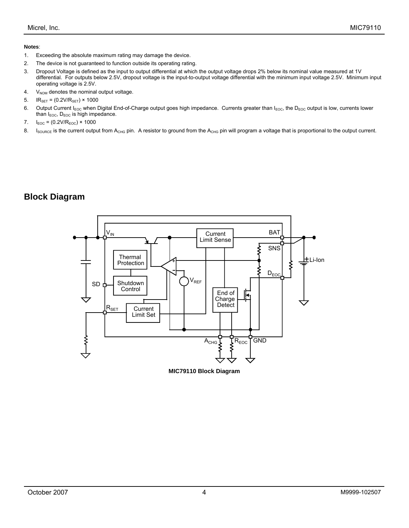#### **Notes**:

- 1. Exceeding the absolute maximum rating may damage the device.
- 2. The device is not guaranteed to function outside its operating rating.
- 3. Dropout Voltage is defined as the input to output differential at which the output voltage drops 2% below its nominal value measured at 1V differential. For outputs below 2.5V, dropout voltage is the input-to-output voltage differential with the minimum input voltage 2.5V. Minimum input operating voltage is 2.5V.
- 4.  $V_{NOM}$  denotes the nominal output voltage.
- 5.  $IR_{SET} = (0.2 V/R_{SET}) \times 1000$
- 6. Output Current I<sub>EOC</sub> when Digital End-of-Charge output goes high impedance. Currents greater than I<sub>EOC</sub>, the D<sub>EOC</sub> output is low, currents lower than  $I_{EOC}$ ,  $D_{EOC}$  is high impedance.
- 7.  $I_{EOC} = (0.2 V/R_{EOC}) \times 1000$
- 8. Isource is the current output from A<sub>CHG</sub> pin. A resistor to ground from the A<sub>CHG</sub> pin will program a voltage that is proportional to the output current.

## **Block Diagram**



**MIC79110 Block Diagram**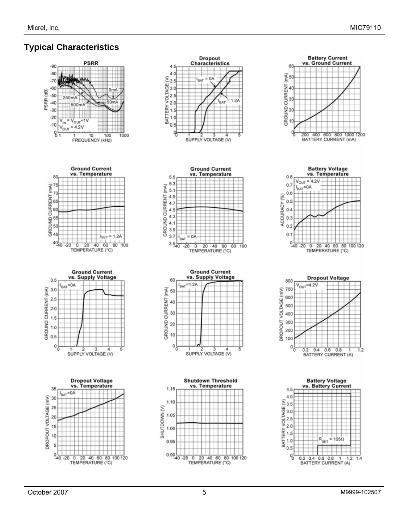## **Typical Characteristics**

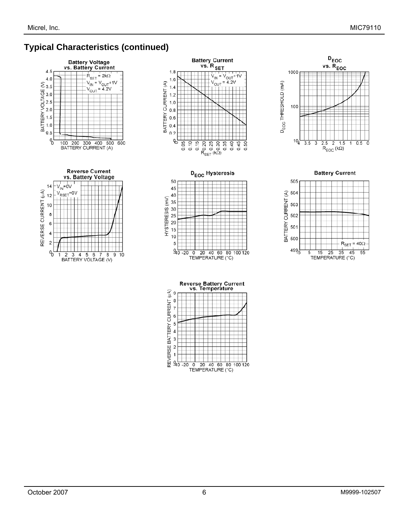# **Typical Characteristics (continued)**

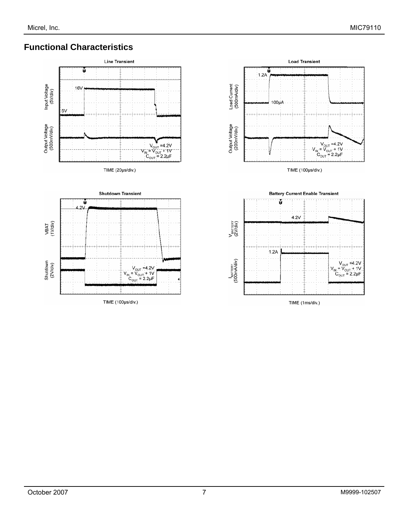# **Functional Characteristics**





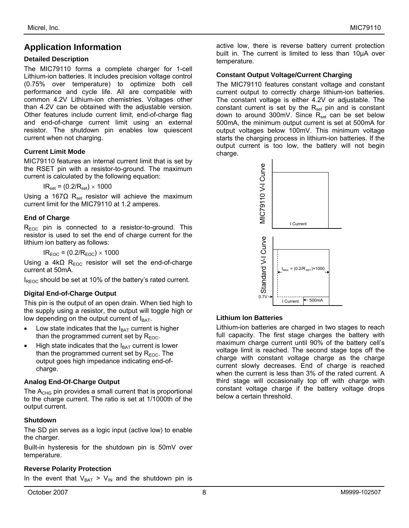# **Application Information**

#### **Detailed Description**

The MIC79110 forms a complete charger for 1-cell Lithium-ion batteries. It includes precision voltage control (0.75% over temperature) to optimize both cell performance and cycle life. All are compatible with common 4.2V Lithium-ion chemistries. Voltages other than 4.2V can be obtained with the adjustable version. Other features include current limit, end-of-charge flag and end-of-charge current limit using an external resistor. The shutdown pin enables low quiescent current when not charging.

#### **Current Limit Mode**

MIC79110 features an internal current limit that is set by the RSET pin with a resistor-to-ground. The maximum current is calculated by the following equation:

 $IR<sub>set</sub> = (0.2/R<sub>set</sub>) \times 1000$ 

Using a 167 $\Omega$  R<sub>set</sub> resistor will achieve the maximum current limit for the MIC79110 at 1.2 amperes.

#### **End of Charge**

 $R_{EOC}$  pin is connected to a resistor-to-ground. This resistor is used to set the end of charge current for the lithium ion battery as follows:

 $IR<sub>EOC</sub> = (0.2/R<sub>EOC</sub>) \times 1000$ 

Using a  $4k\Omega$  R<sub>EOC</sub> resistor will set the end-of-charge current at 50mA.

 $I_{\text{REOC}}$  should be set at 10% of the battery's rated current.

### **Digital End-of-Charge Output**

This pin is the output of an open drain. When tied high to the supply using a resistor, the output will toggle high or low depending on the output current of  $I<sub>BAT</sub>$ .

- Low state indicates that the  $I<sub>BAT</sub>$  current is higher than the programmed current set by  $R_{EOC}$ .
- High state indicates that the  $I<sub>BAT</sub>$  current is lower than the programmed current set by  $R_{EOC}$ . The output goes high impedance indicating end-ofcharge.

### **Analog End-Of-Charge Output**

The  $A_{CHG}$  pin provides a small current that is proportional to the charge current. The ratio is set at 1/1000th of the output current.

### **Shutdown**

The SD pin serves as a logic input (active low) to enable the charger.

Built-in hysteresis for the shutdown pin is 50mV over temperature.

#### **Reverse Polarity Protection**

In the event that  $V_{BAT} > V_{IN}$  and the shutdown pin is

active low, there is reverse battery current protection built in. The current is limited to less than 10µA over temperature.

#### **Constant Output Voltage/Current Charging**

The MIC79110 features constant voltage and constant current output to correctly charge lithium-ion batteries. The constant voltage is either 4.2V or adjustable. The constant current is set by the  $R_{set}$  pin and is constant down to around 300mV. Since  $R_{set}$  can be set below 500mA, the minimum output current is set at 500mA for output voltages below 100mV. This minimum voltage starts the charging process in lithium-ion batteries. If the output current is too low, the battery will not begin charge.



### **Lithium Ion Batteries**

Lithium-ion batteries are charged in two stages to reach full capacity. The first stage charges the battery with maximum charge current until 90% of the battery cell's voltage limit is reached. The second stage tops off the charge with constant voltage charge as the charge current slowly decreases. End of charge is reached when the current is less than 3% of the rated current. A third stage will occasionally top off with charge with constant voltage charge if the battery voltage drops below a certain threshold.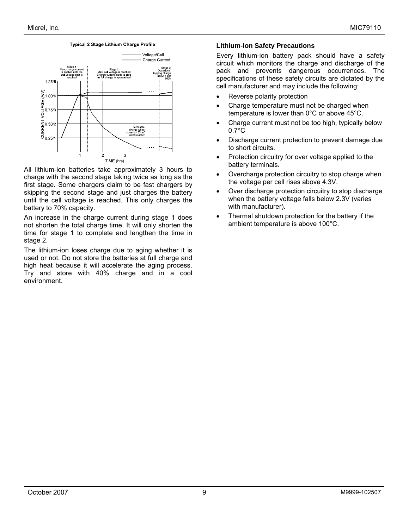#### Typical 2 Stage Lithium Charge Profile



All lithium-ion batteries take approximately 3 hours to charge with the second stage taking twice as long as the first stage. Some chargers claim to be fast chargers by skipping the second stage and just charges the battery until the cell voltage is reached. This only charges the battery to 70% capacity.

An increase in the charge current during stage 1 does not shorten the total charge time. It will only shorten the time for stage 1 to complete and lengthen the time in stage 2.

The lithium-ion loses charge due to aging whether it is used or not. Do not store the batteries at full charge and high heat because it will accelerate the aging process. Try and store with 40% charge and in a cool environment.

#### **Lithium-Ion Safety Precautions**

Every lithium-ion battery pack should have a safety circuit which monitors the charge and discharge of the pack and prevents dangerous occurrences. The specifications of these safety circuits are dictated by the cell manufacturer and may include the following:

- Reverse polarity protection
- Charge temperature must not be charged when temperature is lower than 0°C or above 45°C.
- Charge current must not be too high, typically below  $0.7^{\circ}$ C
- Discharge current protection to prevent damage due to short circuits.
- Protection circuitry for over voltage applied to the battery terminals.
- Overcharge protection circuitry to stop charge when the voltage per cell rises above 4.3V.
- Over discharge protection circuitry to stop discharge when the battery voltage falls below 2.3V (varies with manufacturer).
- Thermal shutdown protection for the battery if the ambient temperature is above 100°C.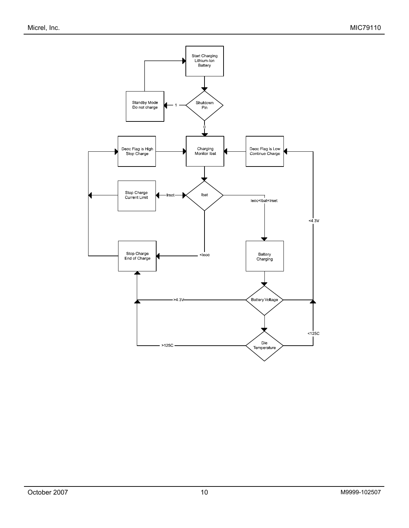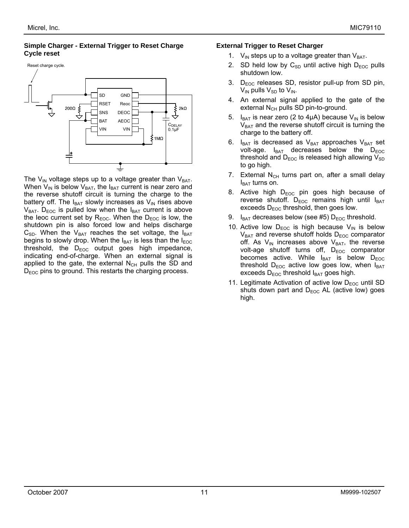#### **Simple Charger - External Trigger to Reset Charge Cycle reset**



The  $V_{IN}$  voltage steps up to a voltage greater than  $V_{BAT}$ . When  $V_{IN}$  is below  $V_{BAT}$ , the  $I_{BAT}$  current is near zero and the reverse shutoff circuit is turning the charge to the battery off. The  $I_{BAT}$  slowly increases as  $V_{IN}$  rises above  $V_{BAT}$ . D<sub>EOC</sub> is pulled low when the I<sub>BAT</sub> current is above the leoc current set by  $R_{EOC}$ . When the  $D_{EOC}$  is low, the shutdown pin is also forced low and helps discharge  $C_{SD}$ . When the  $V_{BAT}$  reaches the set voltage, the  $I_{BAT}$ begins to slowly drop. When the  $I_{\text{BAT}}$  is less than the  $I_{\text{EOC}}$ threshold, the  $D_{EOC}$  output goes high impedance, indicating end-of-charge. When an external signal is applied to the gate, the external  $N_{CH}$  pulls the SD and  $D_{EOC}$  pins to ground. This restarts the charging process.

#### **External Trigger to Reset Charger**

- 1.  $V_{IN}$  steps up to a voltage greater than  $V_{BAT}$ .
- 2. SD held low by  $C_{SD}$  until active high  $D_{EOC}$  pulls shutdown low.
- 3.  $D_{EOC}$  releases SD, resistor pull-up from SD pin,  $V_{IN}$  pulls  $V_{SD}$  to  $V_{IN}$ .
- 4. An external signal applied to the gate of the external  $N_{CH}$  pulls SD pin-to-ground.
- 5. I<sub>BAT</sub> is near zero (2 to 4µA) because  $V_{IN}$  is below  $V<sub>BAT</sub>$  and the reverse shutoff circuit is turning the charge to the battery off.
- $I_{BAT}$  is decreased as  $V_{BAT}$  approaches  $V_{BAT}$  set volt-age.  $I_{BAT}$  decreases below the  $D_{EOC}$ threshold and  $D_{EOC}$  is released high allowing  $V_{SD}$ to go high.
- 7. External  $N_{CH}$  turns part on, after a small delay  $I_{BAT}$  turns on.
- 8. Active high  $D_{EOC}$  pin goes high because of reverse shutoff.  $D_{EOC}$  remains high until  $I_{BAT}$ exceeds  $D_{EOC}$  threshold, then goes low.
- 9.  $I_{BAT}$  decreases below (see #5)  $D_{EOC}$  threshold.
- 10. Active low  $D_{EOC}$  is high because  $V_{IN}$  is below  $V_{BAT}$  and reverse shutoff holds  $D_{EOC}$  comparator off. As  $V_{IN}$  increases above  $V_{BAT}$ , the reverse volt-age shutoff turns off,  $D_{EOC}$  comparator becomes active. While  $I_{BAT}$  is below  $D_{EOC}$ threshold  $D_{EOC}$  active low goes low, when  $I_{BAT}$ exceeds  $D_{EOC}$  threshold  $I_{BAT}$  goes high.
- 11. Legitimate Activation of active low  $D_{EOC}$  until SD shuts down part and  $D_{EOC}$  AL (active low) goes high.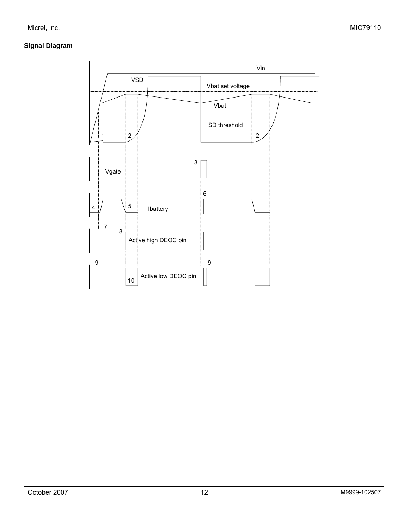### **Signal Diagram**

|                               |                               | Vin              |
|-------------------------------|-------------------------------|------------------|
|                               | <b>VSD</b>                    | Vbat set voltage |
|                               |                               | Vbat             |
|                               |                               | SD threshold     |
| 1                             | 2 <sub>l</sub>                | $\overline{c}$   |
| Vgate                         | 3                             |                  |
| 4                             | $\sqrt{5}$<br>Ibattery        | 6                |
| $\overline{\mathcal{I}}$<br>8 |                               |                  |
|                               | Active high DEOC pin          |                  |
| $\boldsymbol{9}$              |                               | 9                |
|                               | Active low DEOC pin<br>$10\,$ |                  |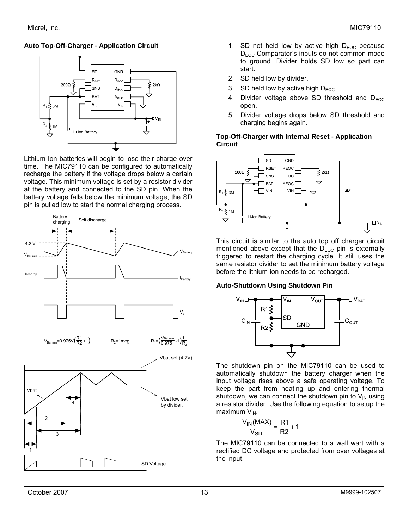#### **Auto Top-Off-Charger - Application Circuit**



Lithium-Ion batteries will begin to lose their charge over time. The MIC79110 can be configured to automatically recharge the battery if the voltage drops below a certain voltage. This minimum voltage is set by a resistor divider at the battery and connected to the SD pin. When the battery voltage falls below the minimum voltage, the SD pin is pulled low to start the normal charging process.



- 1. SD not held low by active high  $D_{EOC}$  because D<sub>EOC</sub> Comparator's inputs do not common-mode to ground. Divider holds SD low so part can start.
- 2. SD held low by divider.
- 3. SD held low by active high  $D_{EOC}$ .
- 4. Divider voltage above SD threshold and  $D_{EOC}$ open.
- 5. Divider voltage drops below SD threshold and charging begins again.

#### **Top-Off-Charger with Internal Reset - Application Circuit**



This circuit is similar to the auto top off charger circuit mentioned above except that the  $D_{EOC}$  pin is externally triggered to restart the charging cycle. It still uses the same resistor divider to set the minimum battery voltage before the lithium-ion needs to be recharged.

#### **Auto-Shutdown Using Shutdown Pin**



The shutdown pin on the MIC79110 can be used to automatically shutdown the battery charger when the input voltage rises above a safe operating voltage. To keep the part from heating up and entering thermal shutdown, we can connect the shutdown pin to  $V_{IN}$  using a resistor divider. Use the following equation to setup the  $maximum$   $V_{IN.}$ 

$$
\frac{V_{IN}(MAX)}{V_{SD}} = \frac{R1}{R2} + 1
$$

The MIC79110 can be connected to a wall wart with a rectified DC voltage and protected from over voltages at the input.